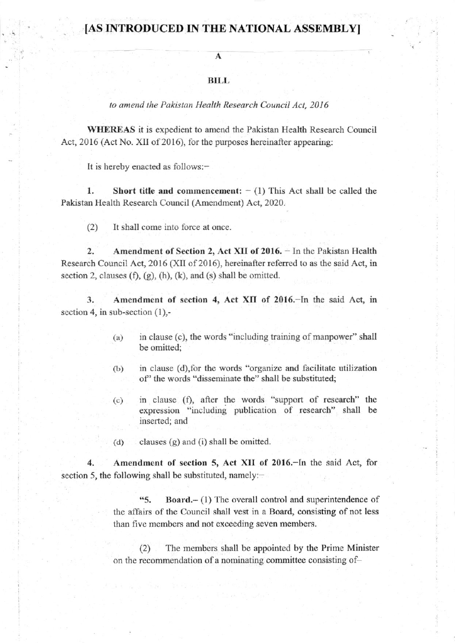## [AS INTRODUCED IN THE NATIONAL ASSEMBLY]

## A

## RII,I,

to amend the Pakistan Health Research Council Act, 2016

WHEREAS it is expedient to amend the Pakistan Health Research Council Act, 2016 (Act No. XII of 2016), for the purposes hereinafter appearing:

It is hereby enacted as follows:-

1. Short title and commencement:  $- (1)$  This Act shall be called the Pakistan Health Research Couocil (Amendment) Act, 2020.

 $(2)$  It shall come into force at once.

2. Amendment of Section 2, Act XII of  $2016$ .  $-$  In the Pakistan Health Research Council Act,  $2016$  (XII of 2016), hereinafter referred to as the said Act, in section 2, clauses  $(f)$ ,  $(g)$ ,  $(h)$ ,  $(k)$ , and  $(s)$  shall be omitted.

3. Amendment of section 4, Act XII of 2016.-In the said Act, in section 4, in sub-section  $(1)$ ,-

- $(a)$  in clause  $(c)$ , the words "including training of manpower" shall be omitted;
- $(b)$  in clause (d), for the words "organize and facilitate utilization of' the words "disseminate the" shall be substituted;
- (c) in clause (f), after the words "support of research" the expression "including publication of research" shall be inserted; and
- (d) clauses  $(g)$  and  $(i)$  shall be omitted.

4. Amendment of section 5, Act XII of 2016. In the said Act, for section 5, the following shall be substituted, namely: $-$ 

> **65.** Board. $- (1)$  The overall control and superintendence of lhe affairs of the Council shall vest in a Board, consisting of not less than five members and not exceeding seven members.

> (2) The membcrs shall be appointed by the Prime Minister on the recommendation of a nominating committee consisting of-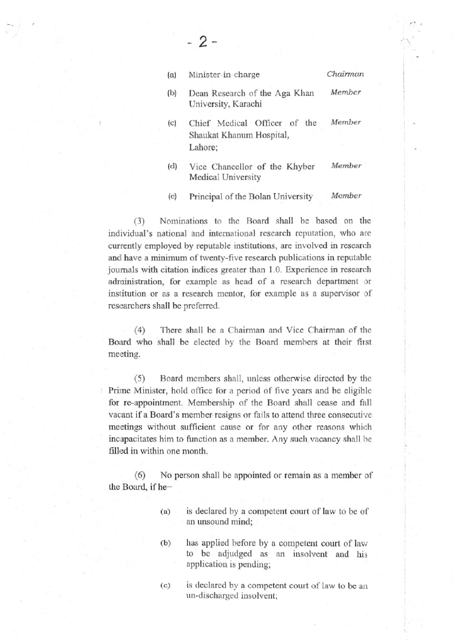| (a) | Minister-in-charge                                                  | Chairman |  |
|-----|---------------------------------------------------------------------|----------|--|
| (b) | Dean Research of the Aga Khan<br>University, Karachi                | Member   |  |
| (c) | Chief Medical Officer of the<br>Shaukat Khanum Hospital,<br>Lahore; | Member   |  |
| (d) | Vice Chancellor of the Khyber<br>Medical University                 | Member   |  |
|     |                                                                     |          |  |

- 2 -

(e) Principal of the Bolan University Member

(3) Nominations to the Board shall be based on the individual's national and international research reputation, who are currently employed by reputable institutions, are involved in research and have a minimum of twenty-five research publications in reputable journals with citation indices greater than 1.0. Experience in research administration, for example as head of a research department or institution or as a research mentor, for example as a supervisor of researchers shall be prefered.

(4) There shall be a Chairman and Vice Chairman of the Board who shall be elected by the Board members at their first meeting.

(5) Board members shall, unless otherwise directed by the Prime Minister, hold office for a period of five years and be eligible for re-appointment. Membership of the Board shall cease and fall vacant if a Board's member resigns or fails to attend three consecutive meetings without sufficient cause or for any other reasons which incapacitates him to function as a member. Any such vacancy shall be filled in within one month.

(6) No person shall be appointed or remain as a member of the Board, if he-

- (a) is declared by a compctent court of law to be of an unsound mind;
- (b) has applied hefore by a competent court of lav/ to be adjudged as an insolvent and his application is pending;
- is declared by a competent court of law to be an  $(c)$ un-discharged insolvent;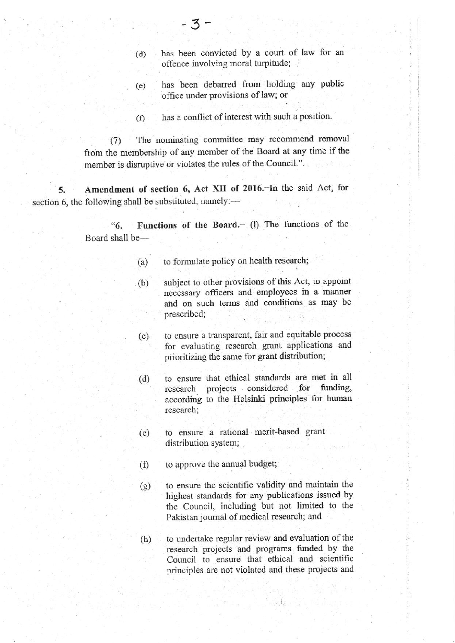- (d) has been convicted by a court of law for an offence involving moral turpitude;
- (e) has been debarred fiom holding any public office under provisions of law; or
- (r) has a conflict of interest with such a position.

(7) The nominating committee may recommend removal fiom the membership of any member of the Board at any time if the member is disruptive or violates the rules of the Council.".

5. Amendment of section 6, Act XII of 2016.-In the said Act, for section 6, the following shall be substituted, namely:-

> " $6.$  Functions of the Board. $-$  (l) The functions of the Board shall be-

- (a) to formulate policy on health research;
- (b) subject to other provisions of this Act, to appoint recessary officers and employees in a mannet and on such tenns and conditions as may be prescribed;
- (c) to ensure a transparent, fair and equitable process for evaluating research grant applications and prioritizing the same for grant distribution;
- (d) to ensure that ethical standards are met in all<br>research projects considered for funding, research projects considered for according to the Helsinki principles for hurnan research;
- (e) to ensure a rational merit-based grant distribution system;
- (f) to approve the annual budget;
- (g) to ensure the scientific validity and maintain the highest standards for any publications issued by the Council, including but not limited to the Pakistan journal of medical research; and
- (h) to undertake regular review and evaluation of the research projects and programs fiuded by the Council to ensure that ethical and scientific principles are not violated and these projects and